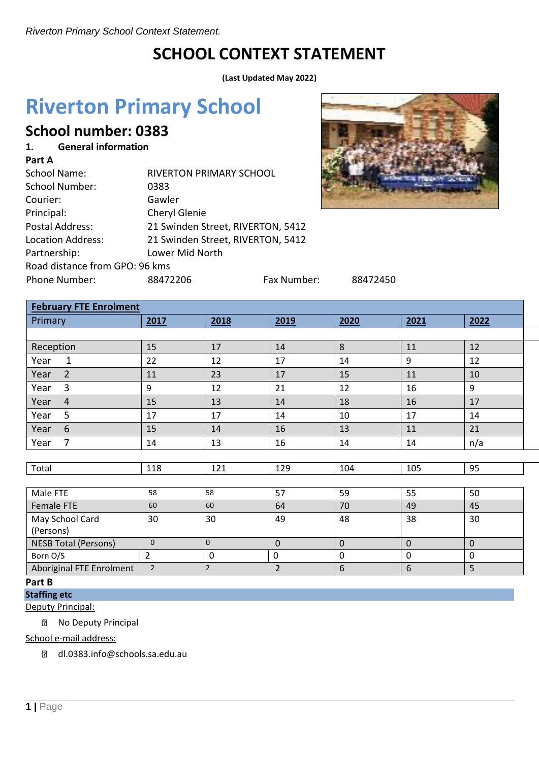# **SCHOOL CONTEXT STATEMENT**

**(Last Updated May 2022)**

# **Riverton Primary School**

# **School number: 0383**

#### **1. General information Part A**

| Part A                         |                                   |                                   |          |  |  |  |
|--------------------------------|-----------------------------------|-----------------------------------|----------|--|--|--|
| <b>School Name:</b>            | <b>RIVERTON PRIMARY SCHOOL</b>    |                                   |          |  |  |  |
| <b>School Number:</b>          | 0383                              |                                   |          |  |  |  |
| Courier:                       | Gawler                            |                                   |          |  |  |  |
| Principal:                     | Cheryl Glenie                     |                                   |          |  |  |  |
| <b>Postal Address:</b>         |                                   | 21 Swinden Street, RIVERTON, 5412 |          |  |  |  |
| <b>Location Address:</b>       | 21 Swinden Street, RIVERTON, 5412 |                                   |          |  |  |  |
| Partnership:                   | Lower Mid North                   |                                   |          |  |  |  |
| Road distance from GPO: 96 kms |                                   |                                   |          |  |  |  |
| Phone Number:                  | 88472206                          | Fax Number:                       | 88472450 |  |  |  |
|                                |                                   |                                   |          |  |  |  |



| <b>February FTE Enrolment</b> |                |                |                |              |             |             |  |
|-------------------------------|----------------|----------------|----------------|--------------|-------------|-------------|--|
| Primary                       | 2017           | 2018           | 2019           | 2020         | 2021        | 2022        |  |
|                               |                |                |                |              |             |             |  |
| Reception                     | 15             | 17             | 14             | 8            | 11          | 12          |  |
| Year<br>$\mathbf{1}$          | 22             | 12             | 17             | 14           | 9           | 12          |  |
| $\overline{2}$<br>Year        | 11             | 23             | 17             | 15           | 11          | 10          |  |
| 3<br>Year                     | 9              | 12             | 21             | 12           | 16          | 9           |  |
| $\overline{4}$<br>Year        | 15             | 13             | 14             | 18           | 16          | 17          |  |
| 5<br>Year                     | 17             | 17             | 14             | 10           | 17          | 14          |  |
| Year<br>6                     | 15             | 14             | 16             | 13           | 11          | 21          |  |
| 7<br>Year                     | 14             | 13             | 16             | 14           | 14          | n/a         |  |
|                               |                |                |                |              |             |             |  |
| Total                         | 118            | 121            | 129            | 104          | 105         | 95          |  |
|                               |                |                |                |              |             |             |  |
| Male FTE                      | 58             | 58             | 57             | 59           | 55          | 50          |  |
| Female FTE                    | 60             | 60             | 64             | 70           | 49          | 45          |  |
| May School Card<br>(Persons)  | 30             | 30             | 49             | 48           | 38          | 30          |  |
| <b>NESB Total (Persons)</b>   | $\mathbf 0$    | $\mathbf 0$    | $\mathbf 0$    | $\mathbf{0}$ | $\mathbf 0$ | $\mathbf 0$ |  |
| Born O/S                      | $\overline{2}$ | $\mathbf 0$    | $\pmb{0}$      | $\mathbf 0$  | $\mathbf 0$ | $\pmb{0}$   |  |
| Aboriginal FTE Enrolment      | $\overline{2}$ | $\overline{2}$ | $\overline{2}$ | 6            | 6           | 5           |  |
| Dart R                        |                |                |                |              |             |             |  |

# **Part B**

**Staffing etc**

Deputy Principal:

**2** No Deputy Principal

School e-mail address:

[dl.0383.info@schools.sa.edu.au](mailto:dl.0383.info@schools.sa.edu.au)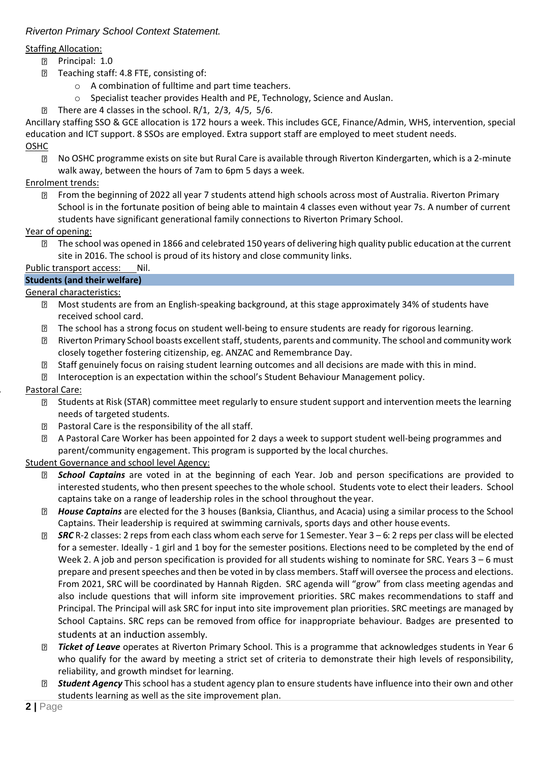# Staffing Allocation:

- Principal: 1.0
- **Teaching staff: 4.8 FTE, consisting of:** 
	- o A combination of fulltime and part time teachers.
	- o Specialist teacher provides Health and PE, Technology, Science and Auslan.
- $\boxed{2}$ There are 4 classes in the school. R/1, 2/3, 4/5, 5/6.

Ancillary staffing SSO & GCE allocation is 172 hours a week. This includes GCE, Finance/Admin, WHS, intervention, special education and ICT support. 8 SSOs are employed. Extra support staff are employed to meet student needs.

- OSHC
	- $\boxed{2}$ No OSHC programme exists on site but Rural Care is available through Riverton Kindergarten, which is a 2-minute walk away, between the hours of 7am to 6pm 5 days a week.

# Enrolment trends:

 $\overline{2}$ From the beginning of 2022 all year 7 students attend high schools across most of Australia. Riverton Primary School is in the fortunate position of being able to maintain 4 classes even without year 7s. A number of current students have significant generational family connections to Riverton Primary School.

# Year of opening:

The school was opened in 1866 and celebrated 150 years of delivering high quality public education at the current site in 2016. The school is proud of its history and close community links.

# Public transport access: Nil.

# **Students (and their welfare)**

General characteristics:

- Most students are from an English-speaking background, at this stage approximately 34% of students have  $\boxed{2}$ received school card.
- The school has a strong focus on student well-being to ensure students are ready for rigorous learning.  $\mathbf{P}$
- Riverton Primary School boasts excellent staff, students, parents and community. The school and community work  $\boxed{2}$ closely together fostering citizenship, eg. ANZAC and Remembrance Day.
- $\overline{2}$ Staff genuinely focus on raising student learning outcomes and all decisions are made with this in mind.
- $\boxed{2}$ Interoception is an expectation within the school's Student Behaviour Management policy.

# **2.** Pastoral Care:

- Students at Risk (STAR) committee meet regularly to ensure student support and intervention meets the learning needs of targeted students.
- Pastoral Care is the responsibility of the all staff.  $\overline{2}$
- $\boxed{2}$ A Pastoral Care Worker has been appointed for 2 days a week to support student well-being programmes and parent/community engagement. This program is supported by the local churches.

# Student Governance and school level Agency:

- *School Captains* are voted in at the beginning of each Year. Job and person specifications are provided to  $\overline{2}$ interested students, who then present speechesto the whole school. Students vote to elect their leaders. School captains take on a range of leadership roles in the school throughout the year.
- *House Captains* are elected for the 3 houses (Banksia, Clianthus, and Acacia) using a similar process to the School Captains. Their leadership is required at swimming carnivals, sports days and other house events.
- $\overline{?}$ *SRC* R-2 classes: 2 reps from each class whom each serve for 1 Semester. Year 3 – 6: 2 reps per class will be elected for a semester. Ideally - 1 girl and 1 boy for the semester positions. Elections need to be completed by the end of Week 2. A job and person specification is provided for all students wishing to nominate for SRC. Years 3 – 6 must prepare and present speeches and then be voted in by class members. Staff will oversee the process and elections. From 2021, SRC will be coordinated by Hannah Rigden. SRC agenda will "grow" from class meeting agendas and also include questions that will inform site improvement priorities. SRC makes recommendations to staff and Principal. The Principal will ask SRC for input into site improvement plan priorities. SRC meetings are managed by School Captains. SRC reps can be removed from office for inappropriate behaviour. Badges are presented to students at an induction assembly.
- $\boxed{2}$ *Ticket of Leave* operates at Riverton Primary School. This is a programme that acknowledges students in Year 6 who qualify for the award by meeting a strict set of criteria to demonstrate their high levels of responsibility, reliability, and growth mindset for learning.
- *Student Agency* This school has a student agency plan to ensure students have influence into their own and other  $\overline{2}$ students learning as well as the site improvement plan.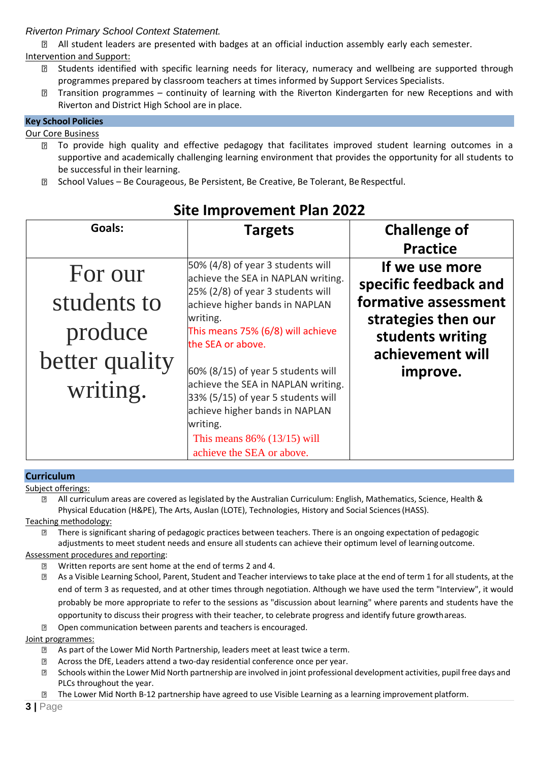All student leaders are presented with badges at an official induction assembly early each semester. Intervention and Support:

- Students identified with specific learning needs for literacy, numeracy and wellbeing are supported through  $\overline{2}$ programmes prepared by classroom teachers at times informed by Support Services Specialists.
- Transition programmes continuity of learning with the Riverton Kindergarten for new Receptions and with  $\overline{2}$ Riverton and District High School are in place.

# **Key School Policies**

#### Our Core Business

- **I** To provide high quality and effective pedagogy that facilitates improved student learning outcomes in a supportive and academically challenging learning environment that provides the opportunity for all students to be successful in their learning.
- **E School Values Be Courageous, Be Persistent, Be Creative, Be Tolerant, Be Respectful.**

| Goals:                                                          | <b>Targets</b>                                                                                                                                                                                                                                                                                                                                                                                                         | <b>Challenge of</b><br><b>Practice</b>                                                                                                     |
|-----------------------------------------------------------------|------------------------------------------------------------------------------------------------------------------------------------------------------------------------------------------------------------------------------------------------------------------------------------------------------------------------------------------------------------------------------------------------------------------------|--------------------------------------------------------------------------------------------------------------------------------------------|
| For our<br>students to<br>produce<br>better quality<br>writing. | 50% (4/8) of year 3 students will<br>achieve the SEA in NAPLAN writing.<br>25% (2/8) of year 3 students will<br>achieve higher bands in NAPLAN<br>writing.<br>This means 75% (6/8) will achieve<br>the SEA or above.<br>60% (8/15) of year 5 students will<br>achieve the SEA in NAPLAN writing.<br>33% (5/15) of year 5 students will<br>achieve higher bands in NAPLAN<br>writing.<br>This means $86\%$ (13/15) will | If we use more<br>specific feedback and<br>formative assessment<br>strategies then our<br>students writing<br>achievement will<br>improve. |
|                                                                 | achieve the SEA or above.                                                                                                                                                                                                                                                                                                                                                                                              |                                                                                                                                            |

# **Site Improvement Plan 2022**

#### **Curriculum** Subject offerings:

 $\overline{R}$ All curriculum areas are covered as legislated by the Australian Curriculum: English, Mathematics, Science, Health & Physical Education (H&PE), The Arts, Auslan (LOTE), Technologies, History and Social Sciences(HASS).

Teaching methodology:

There is significant sharing of pedagogic practices between teachers. There is an ongoing expectation of pedagogic  $\overline{2}$ adjustments to meet student needs and ensure all students can achieve their optimum level of learningoutcome.

# Assessment procedures and reporting:

- Written reports are sent home at the end of terms 2 and 4. 7
- $\overline{2}$ As a Visible Learning School, Parent, Student and Teacher interviews to take place at the end of term 1 for all students, at the end of term 3 as requested, and at other times through negotiation. Although we have used the term "Interview", it would probably be more appropriate to refer to the sessions as "discussion about learning" where parents and students have the opportunity to discuss their progress with their teacher, to celebrate progress and identify future growthareas.
- **D** Open communication between parents and teachers is encouraged.

# Joint programmes:

- As part of the Lower Mid North Partnership, leaders meet at least twice a term.  $\overline{2}$
- $\overline{?}$ Across the DfE, Leaders attend a two-day residential conference once per year.
- $\Box$ Schools within the Lower Mid North partnership are involved in joint professional development activities, pupil free days and PLCs throughout the year.
- $\overline{2}$ The Lower Mid North B-12 partnership have agreed to use Visible Learning as a learning improvement platform.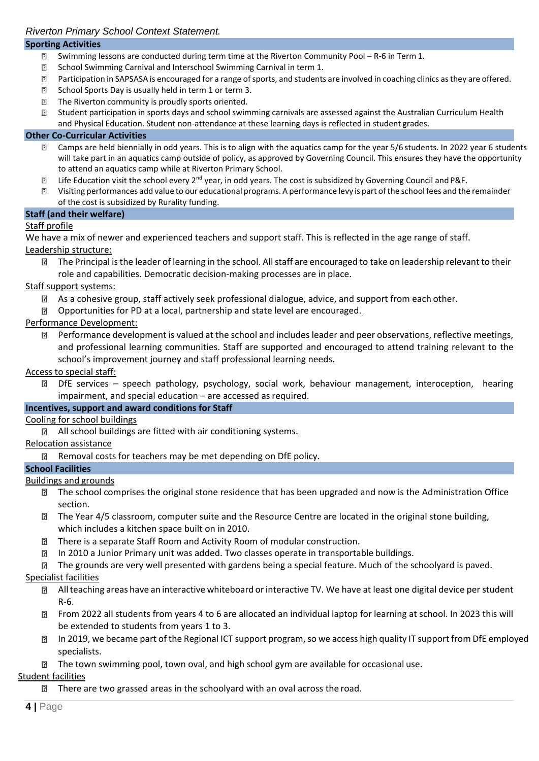# **Sporting Activities**

- Swimming lessons are conducted during term time at the Riverton Community Pool R-6 in Term 1.  $\overline{2}$
- $\boxed{2}$ School Swimming Carnival and Interschool Swimming Carnival in term 1.
- $\overline{P}$ Participation in SAPSASA is encouraged for a range of sports, and students are involved in coaching clinics as they are offered.
- School Sports Day is usually held in term 1 or term 3.  $\overline{R}$
- $\boxed{?}$ The Riverton community is proudly sports oriented.
- Student participation in sports days and school swimming carnivals are assessed against the Australian Curriculum Health  $\overline{R}$ and Physical Education. Student non-attendance at these learning days is reflected in student grades.

#### **Other Co-Curricular Activities**

- Camps are held biennially in odd years. This is to align with the aquatics camp for the year 5/6 students. In 2022 year 6 students  $\overline{2}$ will take part in an aquatics camp outside of policy, as approved by Governing Council. This ensures they have the opportunity to attend an aquatics camp while at Riverton Primary School.
- Life Education visit the school every 2<sup>nd</sup> year, in odd years. The cost is subsidized by Governing Council and P&F.  $\overline{2}$
- $\overline{?}$ Visiting performances add value to our educational programs. A performance levy is part ofthe school fees and the remainder of the cost is subsidized by Rurality funding.

#### **Staff (and their welfare)**

# Staff profile

We have a mix of newer and experienced teachers and support staff. This is reflected in the age range of staff. Leadership structure:

The Principal is the leader of learning in the school. All staff are encouraged to take on leadership relevant to their  $\overline{2}$ role and capabilities. Democratic decision-making processes are in place.

#### Staff support systems:

- $\boxed{?}$ As a cohesive group, staff actively seek professional dialogue, advice, and support from each other.
- Opportunities for PD at a local, partnership and state level are encouraged.  $\overline{P}$

#### Performance Development:

Performance development is valued at the school and includes leader and peer observations, reflective meetings, and professional learning communities. Staff are supported and encouraged to attend training relevant to the school's improvement journey and staff professional learning needs.

#### Access to special staff:

DfE services – speech pathology, psychology, social work, behaviour management, interoception, hearing  $\overline{2}$ impairment, and special education – are accessed as required.

# **Incentives, support and award conditions for Staff**

# Cooling for school buildings

**Z** All school buildings are fitted with air conditioning systems.

#### Relocation assistance

**Removal costs for teachers may be met depending on DfE policy.** 

#### **School Facilities**

# Buildings and grounds

- The school comprises the original stone residence that has been upgraded and now is the Administration Office section.
- The Year 4/5 classroom, computer suite and the Resource Centre are located in the original stone building, 7 which includes a kitchen space built on in 2010.
- There is a separate Staff Room and Activity Room of modular construction.  $\overline{?}$
- $\overline{2}$ In 2010 a Junior Primary unit was added. Two classes operate in transportable buildings.
- $\mathbf{E}$ The grounds are very well presented with gardens being a special feature. Much of the schoolyard is paved.

# Specialist facilities

- Allteaching areas have an interactive whiteboard orinteractive TV. We have at least one digital device per student R-6.
- **EXECUTE:** From 2022 all students from years 4 to 6 are allocated an individual laptop for learning at school. In 2023 this will be extended to students from years 1 to 3.
- In 2019, we became part of the Regional ICT support program, so we access high quality IT support from DfE employed  $\overline{2}$ specialists.
- The town swimming pool, town oval, and high school gym are available for occasional use.

# Student facilities

**There are two grassed areas in the schoolyard with an oval across the road.**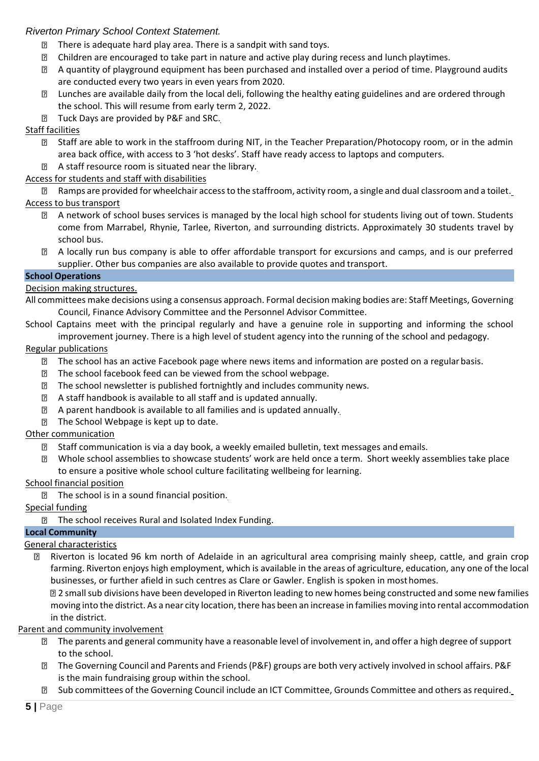- $\overline{2}$ There is adequate hard play area. There is a sandpit with sand toys.
- Children are encouraged to take part in nature and active play during recess and lunch playtimes.  $\overline{2}$
- A quantity of playground equipment has been purchased and installed over a period of time. Playground audits  $\mathbf{E}$ are conducted every two years in even years from 2020.
- Lunches are available daily from the local deli, following the healthy eating guidelines and are ordered through the school. This will resume from early term 2, 2022.
- Tuck Days are provided by P&F and SRC.  $\boxed{2}$

# Staff facilities

- Staff are able to work in the staffroom during NIT, in the Teacher Preparation/Photocopy room, or in the admin area back office, with access to 3 'hot desks'. Staff have ready access to laptops and computers.
- A staff resource room is situated near the library.

# Access for students and staff with disabilities

Ramps are provided for wheelchair accessto the staffroom, activity room, a single and dual classroom and a toilet.

# Access to bus transport

- $\mathbf{E}$ A network of school buses services is managed by the local high school for students living out of town. Students come from Marrabel, Rhynie, Tarlee, Riverton, and surrounding districts. Approximately 30 students travel by school bus.
- A locally run bus company is able to offer affordable transport for excursions and camps, and is our preferred supplier. Other bus companies are also available to provide quotes and transport.

# **School Operations**

# Decision making structures.

- All committees make decisions using a consensus approach. Formal decision making bodies are: Staff Meetings, Governing Council, Finance Advisory Committee and the Personnel Advisor Committee.
- School Captains meet with the principal regularly and have a genuine role in supporting and informing the school improvement journey. There is a high level of student agency into the running of the school and pedagogy.

# Regular publications

- $\overline{2}$ The school has an active Facebook page where news items and information are posted on a regular basis.
- The school facebook feed can be viewed from the school webpage.  $\mathbf{P}$
- The school newsletter is published fortnightly and includes community news.  $\boxed{2}$
- A staff handbook is available to all staff and is updated annually.  $\mathbb{R}$
- A parent handbook is available to all families and is updated annually.  $\overline{?}$
- The School Webpage is kept up to date.

# Other communication

- $\mathbf{E}$ Staff communication is via a day book, a weekly emailed bulletin, text messages and emails.
- $\boxed{2}$ Whole school assemblies to showcase students' work are held once a term. Short weekly assemblies take place to ensure a positive whole school culture facilitating wellbeing for learning.

# School financial position

**The school is in a sound financial position.** 

# Special funding

# **The school receives Rural and Isolated Index Funding.**

# **Local Community**

# General characteristics

⊡ Riverton is located 96 km north of Adelaide in an agricultural area comprising mainly sheep, cattle, and grain crop farming. Riverton enjoys high employment, which is available in the areas of agriculture, education, any one of the local businesses, or further afield in such centres as Clare or Gawler. English is spoken in mosthomes.

2 small sub divisions have been developed in Riverton leading to new homes being constructed and some new families moving into the district. As a near city location, there has been an increase in families moving into rental accommodation in the district.

# Parent and community involvement

- The parents and general community have a reasonable level of involvement in, and offer a high degree ofsupport to the school.
- The Governing Council and Parents and Friends(P&F) groups are both very actively involved in school affairs. P&F is the main fundraising group within the school.
- Sub committees of the Governing Council include an ICT Committee, Grounds Committee and others as required. $\overline{2}$